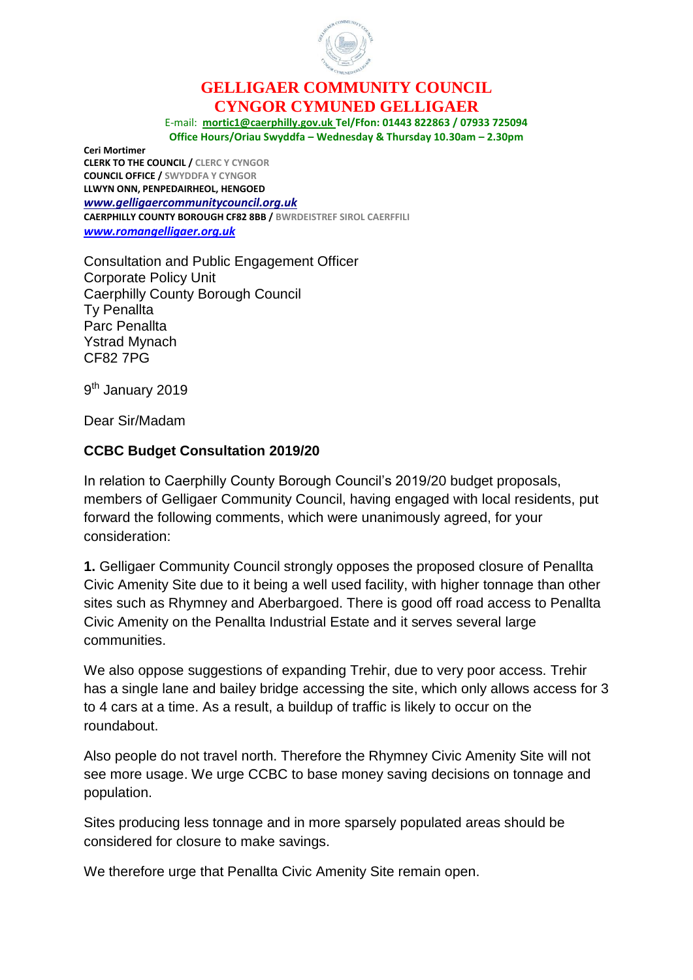

## **GELLIGAER COMMUNITY COUNCIL CYNGOR CYMUNED GELLIGAER**

E-mail: **[mortic1@caerphilly.gov.uk](mailto:mortic1@caerphilly.gov.uk) Tel/Ffon: 01443 822863 / 07933 725094 Office Hours/Oriau Swyddfa – Wednesday & Thursday 10.30am – 2.30pm**

**Ceri Mortimer CLERK TO THE COUNCIL / CLERC Y CYNGOR COUNCIL OFFICE / SWYDDFA Y CYNGOR LLWYN ONN, PENPEDAIRHEOL, HENGOED**  *[www.gelligaercommunitycouncil.org.uk](file://///CORPORATE/Files/CCBCUsers/Users11/MORTIC1/My%20Documents/Consultation%20CCBC%20Budget%20Jan%202019/www.gelligaercommunitycouncil.org.uk)* **CAERPHILLY COUNTY BOROUGH CF82 8BB / BWRDEISTREF SIROL CAERFFILI**  *[www.romangelligaer.org.uk](http://www.romangelligaer.org.uk/)*

Consultation and Public Engagement Officer Corporate Policy Unit Caerphilly County Borough Council Ty Penallta Parc Penallta Ystrad Mynach CF82 7PG

9<sup>th</sup> January 2019

Dear Sir/Madam

## **CCBC Budget Consultation 2019/20**

In relation to Caerphilly County Borough Council's 2019/20 budget proposals, members of Gelligaer Community Council, having engaged with local residents, put forward the following comments, which were unanimously agreed, for your consideration:

**1.** Gelligaer Community Council strongly opposes the proposed closure of Penallta Civic Amenity Site due to it being a well used facility, with higher tonnage than other sites such as Rhymney and Aberbargoed. There is good off road access to Penallta Civic Amenity on the Penallta Industrial Estate and it serves several large communities.

We also oppose suggestions of expanding Trehir, due to very poor access. Trehir has a single lane and bailey bridge accessing the site, which only allows access for 3 to 4 cars at a time. As a result, a buildup of traffic is likely to occur on the roundabout.

Also people do not travel north. Therefore the Rhymney Civic Amenity Site will not see more usage. We urge CCBC to base money saving decisions on tonnage and population.

Sites producing less tonnage and in more sparsely populated areas should be considered for closure to make savings.

We therefore urge that Penallta Civic Amenity Site remain open.